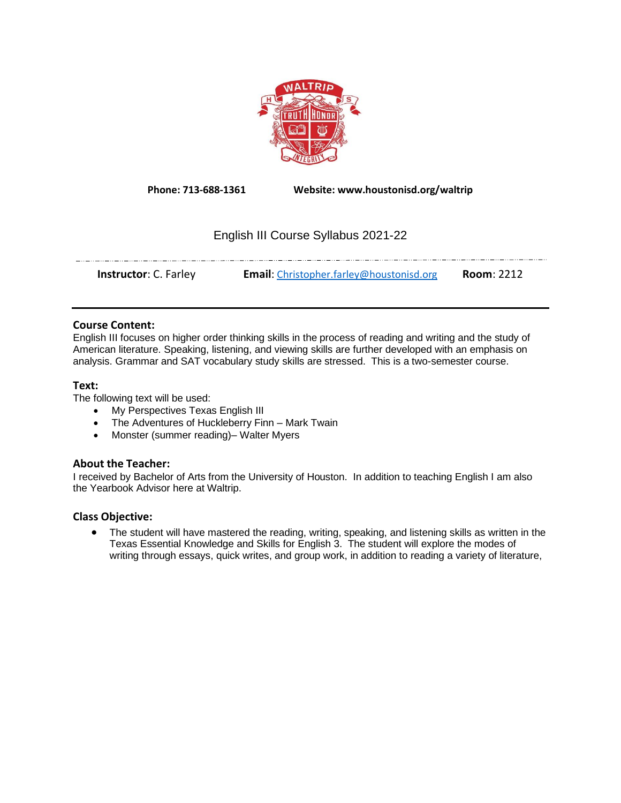

**Phone: 713-688-1361 Website: www.houstonisd.org/waltrip**

# English III Course Syllabus 2021-22

| <b>Instructor: C. Farley</b> | <b>Email:</b> Christopher.farley@houstonisd.org | <b>Room: 2212</b> |
|------------------------------|-------------------------------------------------|-------------------|
|------------------------------|-------------------------------------------------|-------------------|

# **Course Content:**

English III focuses on higher order thinking skills in the process of reading and writing and the study of American literature. Speaking, listening, and viewing skills are further developed with an emphasis on analysis. Grammar and SAT vocabulary study skills are stressed. This is a two-semester course.

# **Text:**

The following text will be used:

- My Perspectives Texas English III
- The Adventures of Huckleberry Finn Mark Twain
- Monster (summer reading)– Walter Myers

# **About the Teacher:**

I received by Bachelor of Arts from the University of Houston. In addition to teaching English I am also the Yearbook Advisor here at Waltrip.

### **Class Objective:**

• The student will have mastered the reading, writing, speaking, and listening skills as written in the Texas Essential Knowledge and Skills for English 3. The student will explore the modes of writing through essays, quick writes, and group work, in addition to reading a variety of literature,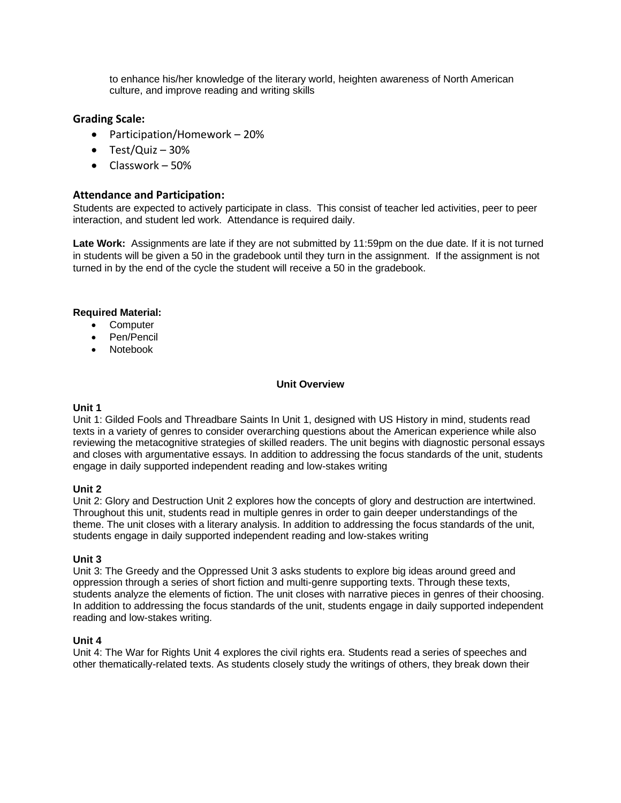to enhance his/her knowledge of the literary world, heighten awareness of North American culture, and improve reading and writing skills

# **Grading Scale:**

- Participation/Homework 20%
- $\bullet$  Test/Quiz 30%
- Classwork 50%

# **Attendance and Participation:**

Students are expected to actively participate in class. This consist of teacher led activities, peer to peer interaction, and student led work. Attendance is required daily.

**Late Work:** Assignments are late if they are not submitted by 11:59pm on the due date. If it is not turned in students will be given a 50 in the gradebook until they turn in the assignment. If the assignment is not turned in by the end of the cycle the student will receive a 50 in the gradebook.

## **Required Material:**

- Computer
- Pen/Pencil
- Notebook

## **Unit Overview**

#### **Unit 1**

Unit 1: Gilded Fools and Threadbare Saints In Unit 1, designed with US History in mind, students read texts in a variety of genres to consider overarching questions about the American experience while also reviewing the metacognitive strategies of skilled readers. The unit begins with diagnostic personal essays and closes with argumentative essays. In addition to addressing the focus standards of the unit, students engage in daily supported independent reading and low-stakes writing

### **Unit 2**

Unit 2: Glory and Destruction Unit 2 explores how the concepts of glory and destruction are intertwined. Throughout this unit, students read in multiple genres in order to gain deeper understandings of the theme. The unit closes with a literary analysis. In addition to addressing the focus standards of the unit, students engage in daily supported independent reading and low-stakes writing

### **Unit 3**

Unit 3: The Greedy and the Oppressed Unit 3 asks students to explore big ideas around greed and oppression through a series of short fiction and multi-genre supporting texts. Through these texts, students analyze the elements of fiction. The unit closes with narrative pieces in genres of their choosing. In addition to addressing the focus standards of the unit, students engage in daily supported independent reading and low-stakes writing.

### **Unit 4**

Unit 4: The War for Rights Unit 4 explores the civil rights era. Students read a series of speeches and other thematically-related texts. As students closely study the writings of others, they break down their